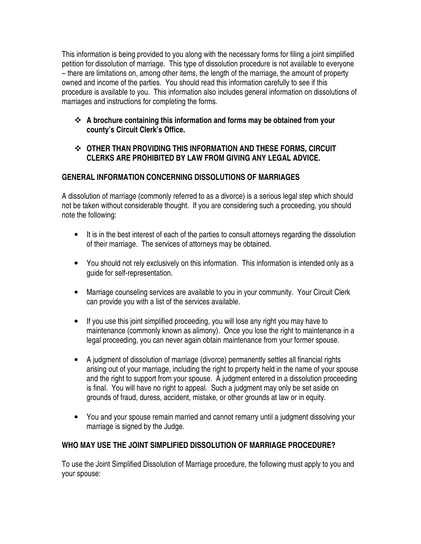This information is being provided to you along with the necessary forms for filing a joint simplified petition for dissolution of marriage. This type of dissolution procedure is not available to everyone – there are limitations on, among other items, the length of the marriage, the amount of property owned and income of the parties. You should read this information carefully to see if this procedure is available to you. This information also includes general information on dissolutions of marriages and instructions for completing the forms.

 **A brochure containing this information and forms may be obtained from your county's Circuit Clerk's Office.** 

## **OTHER THAN PROVIDING THIS INFORMATION AND THESE FORMS, CIRCUIT CLERKS ARE PROHIBITED BY LAW FROM GIVING ANY LEGAL ADVICE.**

# **GENERAL INFORMATION CONCERNING DISSOLUTIONS OF MARRIAGES**

A dissolution of marriage (commonly referred to as a divorce) is a serious legal step which should not be taken without considerable thought. If you are considering such a proceeding, you should note the following:

- It is in the best interest of each of the parties to consult attorneys regarding the dissolution of their marriage. The services of attorneys may be obtained.
- You should not rely exclusively on this information. This information is intended only as a guide for self-representation.
- Marriage counseling services are available to you in your community. Your Circuit Clerk can provide you with a list of the services available.
- If you use this joint simplified proceeding, you will lose any right you may have to maintenance (commonly known as alimony). Once you lose the right to maintenance in a legal proceeding, you can never again obtain maintenance from your former spouse.
- A judgment of dissolution of marriage (divorce) permanently settles all financial rights arising out of your marriage, including the right to property held in the name of your spouse and the right to support from your spouse. A judgment entered in a dissolution proceeding is final. You will have no right to appeal. Such a judgment may only be set aside on grounds of fraud, duress, accident, mistake, or other grounds at law or in equity.
- You and your spouse remain married and cannot remarry until a judgment dissolving your marriage is signed by the Judge.

# **WHO MAY USE THE JOINT SIMPLIFIED DISSOLUTION OF MARRIAGE PROCEDURE?**

To use the Joint Simplified Dissolution of Marriage procedure, the following must apply to you and your spouse: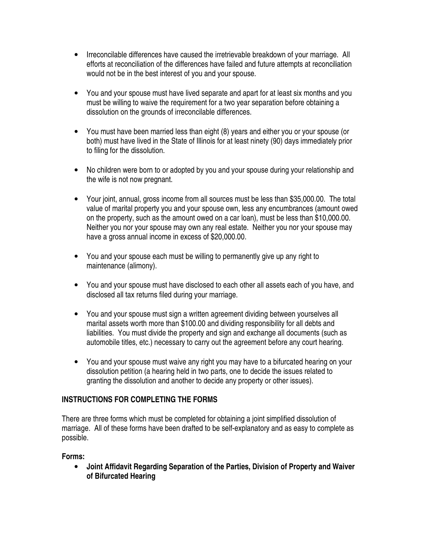- Irreconcilable differences have caused the irretrievable breakdown of your marriage. All efforts at reconciliation of the differences have failed and future attempts at reconciliation would not be in the best interest of you and your spouse.
- You and your spouse must have lived separate and apart for at least six months and you must be willing to waive the requirement for a two year separation before obtaining a dissolution on the grounds of irreconcilable differences.
- You must have been married less than eight (8) years and either you or your spouse (or both) must have lived in the State of Illinois for at least ninety (90) days immediately prior to filing for the dissolution.
- No children were born to or adopted by you and your spouse during your relationship and the wife is not now pregnant.
- Your joint, annual, gross income from all sources must be less than \$35,000.00. The total value of marital property you and your spouse own, less any encumbrances (amount owed on the property, such as the amount owed on a car loan), must be less than \$10,000.00. Neither you nor your spouse may own any real estate. Neither you nor your spouse may have a gross annual income in excess of \$20,000.00.
- You and your spouse each must be willing to permanently give up any right to maintenance (alimony).
- You and your spouse must have disclosed to each other all assets each of you have, and disclosed all tax returns filed during your marriage.
- You and your spouse must sign a written agreement dividing between yourselves all marital assets worth more than \$100.00 and dividing responsibility for all debts and liabilities. You must divide the property and sign and exchange all documents (such as automobile titles, etc.) necessary to carry out the agreement before any court hearing.
- You and your spouse must waive any right you may have to a bifurcated hearing on your dissolution petition (a hearing held in two parts, one to decide the issues related to granting the dissolution and another to decide any property or other issues).

# **INSTRUCTIONS FOR COMPLETING THE FORMS**

There are three forms which must be completed for obtaining a joint simplified dissolution of marriage. All of these forms have been drafted to be self-explanatory and as easy to complete as possible.

# **Forms:**

• **Joint Affidavit Regarding Separation of the Parties, Division of Property and Waiver of Bifurcated Hearing**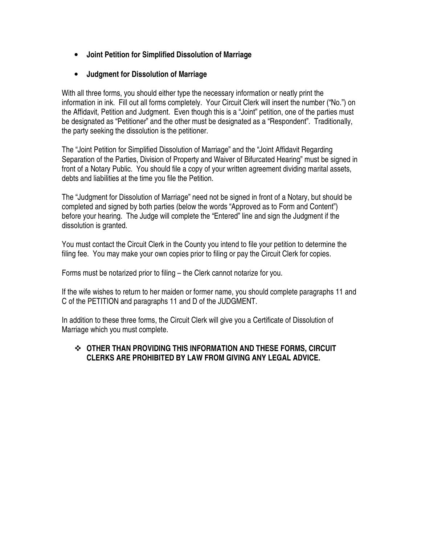- **Joint Petition for Simplified Dissolution of Marriage**
- **Judgment for Dissolution of Marriage**

With all three forms, you should either type the necessary information or neatly print the information in ink. Fill out all forms completely. Your Circuit Clerk will insert the number ("No.") on the Affidavit, Petition and Judgment. Even though this is a "Joint" petition, one of the parties must be designated as "Petitioner" and the other must be designated as a "Respondent". Traditionally, the party seeking the dissolution is the petitioner.

The "Joint Petition for Simplified Dissolution of Marriage" and the "Joint Affidavit Regarding Separation of the Parties, Division of Property and Waiver of Bifurcated Hearing" must be signed in front of a Notary Public. You should file a copy of your written agreement dividing marital assets, debts and liabilities at the time you file the Petition.

The "Judgment for Dissolution of Marriage" need not be signed in front of a Notary, but should be completed and signed by both parties (below the words "Approved as to Form and Content") before your hearing. The Judge will complete the "Entered" line and sign the Judgment if the dissolution is granted.

You must contact the Circuit Clerk in the County you intend to file your petition to determine the filing fee. You may make your own copies prior to filing or pay the Circuit Clerk for copies.

Forms must be notarized prior to filing – the Clerk cannot notarize for you.

If the wife wishes to return to her maiden or former name, you should complete paragraphs 11 and C of the PETITION and paragraphs 11 and D of the JUDGMENT.

In addition to these three forms, the Circuit Clerk will give you a Certificate of Dissolution of Marriage which you must complete.

## **OTHER THAN PROVIDING THIS INFORMATION AND THESE FORMS, CIRCUIT CLERKS ARE PROHIBITED BY LAW FROM GIVING ANY LEGAL ADVICE.**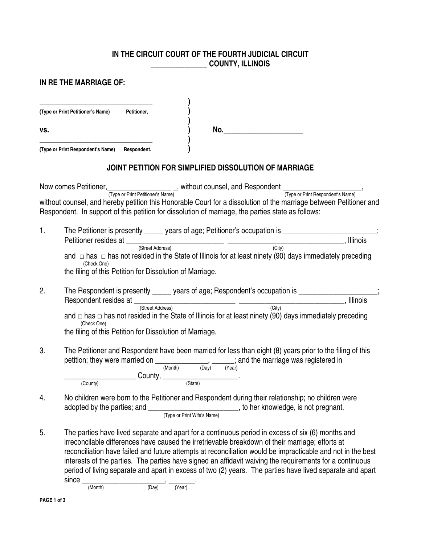### **IN THE CIRCUIT COURT OF THE FOURTH JUDICIAL CIRCUIT \_\_\_\_\_\_\_\_\_\_\_\_\_\_\_ COUNTY, ILLINOIS**

## **IN RE THE MARRIAGE OF:**

| (Type or Print Petitioner's Name) | Petitioner, |     |  |
|-----------------------------------|-------------|-----|--|
| VS.                               |             | No. |  |
| (Type or Print Respondent's Name) | Respondent. |     |  |

## **JOINT PETITION FOR SIMPLIFIED DISSOLUTION OF MARRIAGE**

Now comes Petitioner, \_\_\_\_\_\_\_\_\_\_\_\_\_\_\_\_\_\_\_\_\_\_\_\_\_, without counsel, and Respondent \_\_\_\_\_\_\_\_\_\_\_\_\_\_\_\_\_\_\_\_\_\_\_\_, (Type or Print Petitioner's Name) (Type or Print Respondent's Name) without counsel, and hereby petition this Honorable Court for a dissolution of the marriage between Petitioner and Respondent. In support of this petition for dissolution of marriage, the parties state as follows:

- 1. The Petitioner is presently ears of age; Petitioner's occupation is Petitioner resides at \_\_\_\_\_\_\_\_\_\_\_\_\_\_\_\_\_\_\_\_\_\_\_\_\_\_ \_\_\_\_\_\_\_\_\_\_\_\_\_\_\_\_\_\_\_\_\_\_\_\_\_\_\_\_\_\_\_, Illinois (Street Address) and  $\Box$  has  $\Box$  has not resided in the State of Illinois for at least ninety (90) days immediately preceding (Check One) the filing of this Petition for Dissolution of Marriage.
- 2. The Respondent is presently \_\_\_\_\_ years of age; Respondent's occupation is \_\_\_\_\_\_\_\_\_\_\_\_\_\_\_\_\_\_\_\_\_\_\_\_\_\_\_\_\_\_\_\_<br>Respondent resides at Respondent resides at  $\frac{1}{(Street Address)}$ (Street Address) and  $\Box$  has  $\Box$  has not resided in the State of Illinois for at least ninety (90) days immediately preceding (Check One) the filing of this Petition for Dissolution of Marriage.
- 3. The Petitioner and Respondent have been married for less than eight (8) years prior to the filing of this petition; they were married on  $\underbrace{\hspace{2cm}}_{(Month)}$  (Day)  $\overbrace{\hspace{2cm}}^{(Year)}$  and the marriage was registered in (Month) (Day) (Year) \_\_\_\_\_\_\_\_\_\_\_\_\_\_\_\_\_\_\_\_\_\_\_\_\_\_\_County, \_\_\_\_\_\_\_\_\_\_\_\_\_\_\_\_\_\_\_\_\_\_\_\_\_\_\_\_.

(County) (State)

- 4. No children were born to the Petitioner and Respondent during their relationship; no children were adopted by the parties; and \_\_\_\_\_\_\_\_\_\_\_\_\_\_\_\_\_\_\_\_\_\_\_\_\_\_\_\_, to her knowledge, is not pregnant. (Type or Print Wife's Name)
- 5. The parties have lived separate and apart for a continuous period in excess of six (6) months and irreconcilable differences have caused the irretrievable breakdown of their marriage; efforts at reconciliation have failed and future attempts at reconciliation would be impracticable and not in the best interests of the parties. The parties have signed an affidavit waiving the requirements for a continuous period of living separate and apart in excess of two (2) years. The parties have lived separate and apart  $since \frac{(\text{Month})}{(\text{Month})}$ ,  $\frac{(\text{Day})}{(\text{Year})}$

(Month) (Day) (Year)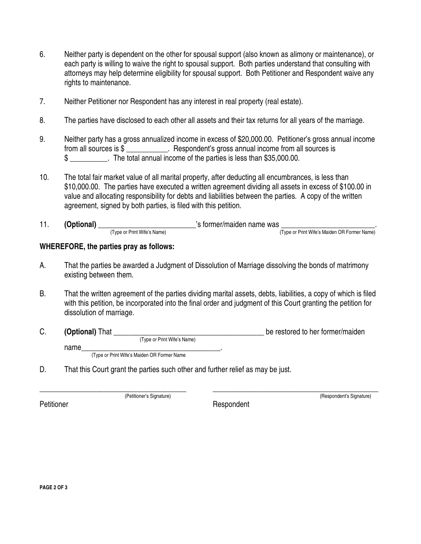- 6. Neither party is dependent on the other for spousal support (also known as alimony or maintenance), or each party is willing to waive the right to spousal support. Both parties understand that consulting with attorneys may help determine eligibility for spousal support. Both Petitioner and Respondent waive any rights to maintenance.
- 7. Neither Petitioner nor Respondent has any interest in real property (real estate).
- 8. The parties have disclosed to each other all assets and their tax returns for all years of the marriage.
- 9. Neither party has a gross annualized income in excess of \$20,000.00. Petitioner's gross annual income from all sources is \$ \_\_\_\_\_\_\_\_\_\_\_. Respondent's gross annual income from all sources is \$ \_\_\_\_\_\_\_\_\_\_. The total annual income of the parties is less than \$35,000.00.
- 10. The total fair market value of all marital property, after deducting all encumbrances, is less than \$10,000.00. The parties have executed a written agreement dividing all assets in excess of \$100.00 in value and allocating responsibility for debts and liabilities between the parties. A copy of the written agreement, signed by both parties, is filed with this petition.
- 11. **(Optional)** \_\_\_\_\_\_\_\_\_\_\_\_\_\_\_\_\_\_\_\_\_\_\_\_\_\_\_'s former/maiden name was \_\_\_\_\_\_\_\_\_\_\_\_\_\_\_\_\_\_\_\_\_\_\_\_\_\_\_. (Type or Print Wife's Name) (Type or Print Wife's Maiden OR Former Name)

#### **WHEREFORE, the parties pray as follows:**

- A. That the parties be awarded a Judgment of Dissolution of Marriage dissolving the bonds of matrimony existing between them.
- B. That the written agreement of the parties dividing marital assets, debts, liabilities, a copy of which is filed with this petition, be incorporated into the final order and judgment of this Court granting the petition for dissolution of marriage.
- C. **(Optional)** That **C** and the state of the restored to her former/maiden (Type or Print Wife's Name) name\_\_\_\_\_\_\_\_\_\_\_\_\_\_\_\_\_\_\_\_\_\_\_\_\_\_\_\_\_\_\_\_\_\_\_\_\_.

(Type or Print Wife's Maiden OR Former Name

D. That this Court grant the parties such other and further relief as may be just.

Petitioner Respondent

\_\_\_\_\_\_\_\_\_\_\_\_\_\_\_\_\_\_\_\_\_\_\_\_\_\_\_\_\_\_\_\_\_\_\_\_\_\_\_ \_\_\_\_\_\_\_\_\_\_\_\_\_\_\_\_\_\_\_\_\_\_\_\_\_\_\_\_\_\_\_\_\_\_\_\_\_\_\_\_\_\_\_\_ (Petitioner's Signature) (Respondent's Signature)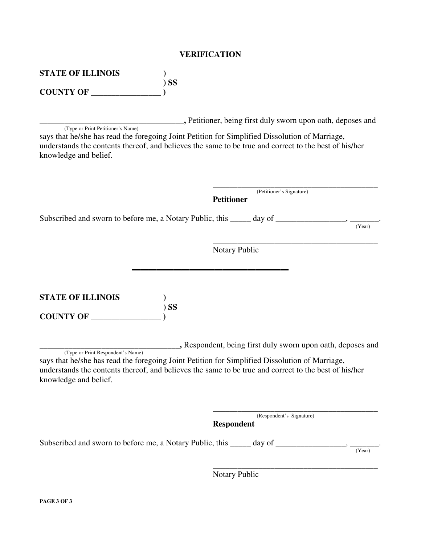| VERIFICATION |  |
|--------------|--|
|--------------|--|

| <b>STATE OF ILLINOIS</b><br><b>SS</b><br><b>COUNTY OF __</b>                                                                                                                                                                                                          |                                                                          |
|-----------------------------------------------------------------------------------------------------------------------------------------------------------------------------------------------------------------------------------------------------------------------|--------------------------------------------------------------------------|
| (Type or Print Petitioner's Name)<br>says that he/she has read the foregoing Joint Petition for Simplified Dissolution of Marriage,<br>understands the contents thereof, and believes the same to be true and correct to the best of his/her<br>knowledge and belief. | , Petitioner, being first duly sworn upon oath, deposes and              |
| Subscribed and sworn to before me, a Notary Public, this ______ day of _________________,                                                                                                                                                                             | (Petitioner's Signature)<br><b>Petitioner</b><br>(Year)<br>Notary Public |
| <b>STATE OF ILLINOIS</b><br><b>SS</b>                                                                                                                                                                                                                                 |                                                                          |

**COUNTY OF \_\_\_\_\_\_\_\_\_\_\_\_\_\_\_\_\_ )** 

**\_\_\_\_\_\_\_\_\_\_\_\_\_\_\_\_\_\_\_\_\_\_\_\_\_\_\_\_\_\_\_\_\_\_,** Respondent, being first duly sworn upon oath, deposes and (Type or Print Respondent's Name) says that he/she has read the foregoing Joint Petition for Simplified Dissolution of Marriage, understands the contents thereof, and believes the same to be true and correct to the best of his/her knowledge and belief.

 $\overline{\phantom{a}}$  , and the contract of the contract of the contract of the contract of the contract of the contract of the contract of the contract of the contract of the contract of the contract of the contract of the contrac (Respondent's Signature) **Respondent**  Subscribed and sworn to before me, a Notary Public, this  $\frac{1}{\text{day of}}$  day of  $\frac{1}{\text{year}}$ (Year)

 $\overline{\phantom{a}}$  , and the contract of the contract of the contract of the contract of the contract of the contract of the contract of the contract of the contract of the contract of the contract of the contract of the contrac

Notary Public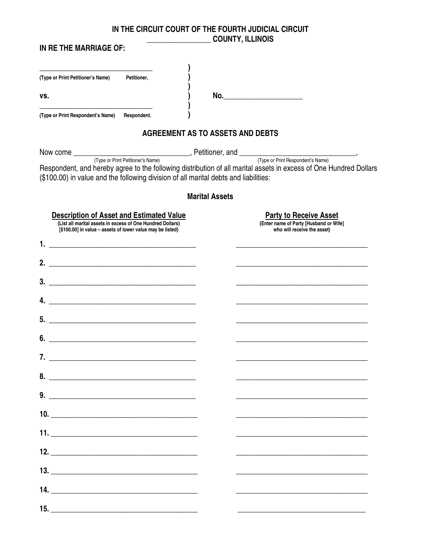**IN THE CIRCUIT COURT OF THE FOURTH JUDICIAL CIRCUIT \_\_\_\_\_\_\_\_\_\_\_\_\_\_\_\_\_ COUNTY, ILLINOIS** 

| IN RE THE MARRIAGE OF:                                                                                               |                                                                                                                        |
|----------------------------------------------------------------------------------------------------------------------|------------------------------------------------------------------------------------------------------------------------|
| (Type or Print Petitioner's Name)<br>Petitioner,                                                                     |                                                                                                                        |
| VS.                                                                                                                  | No.___________________________                                                                                         |
| (Type or Print Respondent's Name)<br>Respondent.                                                                     |                                                                                                                        |
|                                                                                                                      | AGREEMENT AS TO ASSETS AND DEBTS                                                                                       |
|                                                                                                                      |                                                                                                                        |
| (\$100.00) in value and the following division of all marital debts and liabilities:                                 | Respondent, and hereby agree to the following distribution of all marital assets in excess of One Hundred Dollars      |
|                                                                                                                      | <b>Marital Assets</b>                                                                                                  |
| <b>Description of Asset and Estimated Value</b><br>(List all marital assets in excess of One Hundred Dollars)        | <b>Party to Receive Asset</b><br>(Enter name of Party [Husband or Wife]                                                |
| [\$100.00] in value - assets of lower value may be listed)<br>1.                                                     | who will receive the asset)                                                                                            |
| 2.                                                                                                                   |                                                                                                                        |
| <u> 2000 - Jan James James Jan James James James James James James James James James James James James James Jam</u> | <u> 1989 - Johann Harry Harry Harry Harry Harry Harry Harry Harry Harry Harry Harry Harry Harry Harry Harry Harry</u>  |
| 3.                                                                                                                   |                                                                                                                        |
| 4.<br><u> 1980 - Johann John Stone, mars eta biztanleria (h. 1980).</u>                                              |                                                                                                                        |
| 5.                                                                                                                   |                                                                                                                        |
| 6.                                                                                                                   |                                                                                                                        |
|                                                                                                                      |                                                                                                                        |
|                                                                                                                      | <u> 1989 - Johann John Stone, mars et al. 1989 - John Stone, mars et al. 1989 - John Stone, mars et al. 1989 - Joh</u> |
|                                                                                                                      |                                                                                                                        |
|                                                                                                                      |                                                                                                                        |
|                                                                                                                      | <u> 1989 - Johann Stoff, amerikansk politiker (d. 1989)</u>                                                            |
|                                                                                                                      |                                                                                                                        |
|                                                                                                                      |                                                                                                                        |
|                                                                                                                      |                                                                                                                        |
|                                                                                                                      |                                                                                                                        |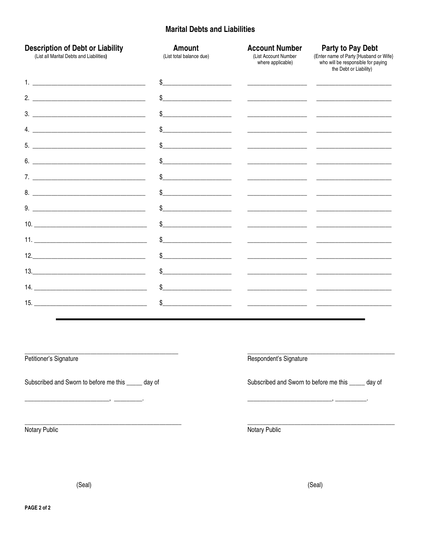# **Marital Debts and Liabilities**

| <b>Description of Debt or Liability</b><br>(List all Marital Debts and Liabilities) | Amount<br>(List total balance due)                                                                                                                                                                                                                                                                                                                                  | <b>Account Number</b><br>(List Account Number<br>where applicable) | Party to Pay Debt<br>(Enter name of Party [Husband or Wife}<br>who will be responsible for paying<br>the Debt or Liability) |
|-------------------------------------------------------------------------------------|---------------------------------------------------------------------------------------------------------------------------------------------------------------------------------------------------------------------------------------------------------------------------------------------------------------------------------------------------------------------|--------------------------------------------------------------------|-----------------------------------------------------------------------------------------------------------------------------|
|                                                                                     | $\begin{picture}(20,10) \put(0,0){\vector(1,0){100}} \put(15,0){\vector(1,0){100}} \put(15,0){\vector(1,0){100}} \put(15,0){\vector(1,0){100}} \put(15,0){\vector(1,0){100}} \put(15,0){\vector(1,0){100}} \put(15,0){\vector(1,0){100}} \put(15,0){\vector(1,0){100}} \put(15,0){\vector(1,0){100}} \put(15,0){\vector(1,0){100}} \put(15,0){\vector(1,0){100}} \$ |                                                                    |                                                                                                                             |
|                                                                                     | $\frac{1}{2}$                                                                                                                                                                                                                                                                                                                                                       | <u> 1980 - Jan James James Barbara, político e a f</u>             |                                                                                                                             |
|                                                                                     |                                                                                                                                                                                                                                                                                                                                                                     |                                                                    |                                                                                                                             |
|                                                                                     | $\frac{1}{2}$                                                                                                                                                                                                                                                                                                                                                       |                                                                    |                                                                                                                             |
|                                                                                     | $\frac{1}{2}$                                                                                                                                                                                                                                                                                                                                                       |                                                                    |                                                                                                                             |
| $6.$ $\overline{\phantom{a}}$                                                       | $\textcircled{S}$                                                                                                                                                                                                                                                                                                                                                   |                                                                    | <u> 1989 - Johann Barn, amerikan basar basal dan berasal dari berasal dalam basal dalam basal dalam basal dalam b</u>       |
| $\overline{7}$ .                                                                    | $\begin{picture}(20,10) \put(0,0){\vector(1,0){100}} \put(15,0){\vector(1,0){100}} \put(15,0){\vector(1,0){100}} \put(15,0){\vector(1,0){100}} \put(15,0){\vector(1,0){100}} \put(15,0){\vector(1,0){100}} \put(15,0){\vector(1,0){100}} \put(15,0){\vector(1,0){100}} \put(15,0){\vector(1,0){100}} \put(15,0){\vector(1,0){100}} \put(15,0){\vector(1,0){100}} \$ |                                                                    |                                                                                                                             |
| 8.                                                                                  | $\begin{picture}(20,10) \put(0,0){\vector(1,0){100}} \put(15,0){\vector(1,0){100}} \put(15,0){\vector(1,0){100}} \put(15,0){\vector(1,0){100}} \put(15,0){\vector(1,0){100}} \put(15,0){\vector(1,0){100}} \put(15,0){\vector(1,0){100}} \put(15,0){\vector(1,0){100}} \put(15,0){\vector(1,0){100}} \put(15,0){\vector(1,0){100}} \put(15,0){\vector(1,0){100}} \$ |                                                                    |                                                                                                                             |
|                                                                                     | $\frac{1}{2}$                                                                                                                                                                                                                                                                                                                                                       |                                                                    | <u> 1989 - Johann Harry Harry Barn, mars and deutscher Amerikaanse kommunister (</u>                                        |
| 10.                                                                                 | $\frac{1}{2}$                                                                                                                                                                                                                                                                                                                                                       |                                                                    |                                                                                                                             |
|                                                                                     | $\frac{1}{2}$                                                                                                                                                                                                                                                                                                                                                       |                                                                    | <u> 1980 - Andrea Andrew Maria (h. 1980).</u><br>1900 - Andrew Maria (h. 1980).                                             |
|                                                                                     | $\sim$                                                                                                                                                                                                                                                                                                                                                              |                                                                    | <u> 1999 - Johann Harry Barn, mars and de Branch and de Branch and de Branch and de Branch and de Branch and de B</u>       |
|                                                                                     | $\mathsf{\$} \hspace{0.08cm} \underbrace{\hspace{0.08cm} }$                                                                                                                                                                                                                                                                                                         |                                                                    |                                                                                                                             |
|                                                                                     |                                                                                                                                                                                                                                                                                                                                                                     |                                                                    | <u> 2000 - Jan James James Jan James James James James James James James James James James James James James Jam</u>        |
|                                                                                     |                                                                                                                                                                                                                                                                                                                                                                     |                                                                    |                                                                                                                             |
|                                                                                     |                                                                                                                                                                                                                                                                                                                                                                     |                                                                    |                                                                                                                             |
| Petitioner's Signature                                                              |                                                                                                                                                                                                                                                                                                                                                                     | Respondent's Signature                                             |                                                                                                                             |
| Subscribed and Sworn to before me this _____ day of                                 |                                                                                                                                                                                                                                                                                                                                                                     |                                                                    | Subscribed and Sworn to before me this _____ day of                                                                         |

Notary Public

Notary Public

(Seal)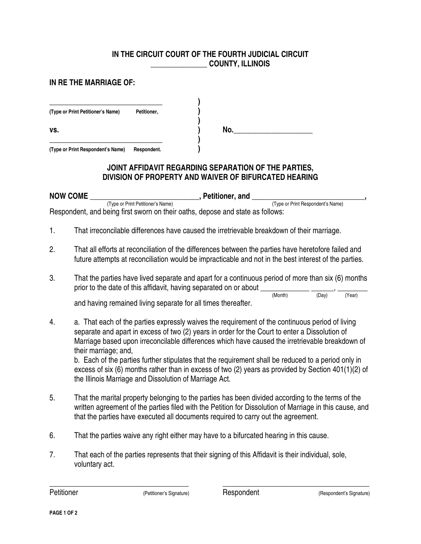## **IN THE CIRCUIT COURT OF THE FOURTH JUDICIAL CIRCUIT \_\_\_\_\_\_\_\_\_\_\_\_\_\_\_ COUNTY, ILLINOIS**

### **IN RE THE MARRIAGE OF:**

| (Type or Print Petitioner's Name) | Petitioner, |
|-----------------------------------|-------------|
| VS.                               |             |
| (Type or Print Respondent's Name) | Respondent. |

## **JOINT AFFIDAVIT REGARDING SEPARATION OF THE PARTIES, DIVISION OF PROPERTY AND WAIVER OF BIFURCATED HEARING**

**NOW COME \_\_\_\_\_\_\_\_\_\_\_\_\_\_\_\_\_\_\_\_\_\_\_\_\_\_\_\_\_, Petitioner, and \_\_\_\_\_\_\_\_\_\_\_\_\_\_\_\_\_\_\_\_\_\_\_\_\_\_\_\_\_\_,**  (Type or Print Respondent's Name) Respondent, and being first sworn on their oaths, depose and state as follows:

- 1. That irreconcilable differences have caused the irretrievable breakdown of their marriage.
- 2. That all efforts at reconciliation of the differences between the parties have heretofore failed and future attempts at reconciliation would be impracticable and not in the best interest of the parties.
- 3. That the parties have lived separate and apart for a continuous period of more than six (6) months prior to the date of this affidavit, having separated on or about  $\frac{1}{(Month)}$  (Nonth)

 (Month) (Day) (Year) and having remained living separate for all times thereafter.

4. a. That each of the parties expressly waives the requirement of the continuous period of living separate and apart in excess of two (2) years in order for the Court to enter a Dissolution of Marriage based upon irreconcilable differences which have caused the irretrievable breakdown of their marriage; and,

 b. Each of the parties further stipulates that the requirement shall be reduced to a period only in excess of six (6) months rather than in excess of two (2) years as provided by Section 401(1)(2) of the Illinois Marriage and Dissolution of Marriage Act.

5. That the marital property belonging to the parties has been divided according to the terms of the written agreement of the parties filed with the Petition for Dissolution of Marriage in this cause, and that the parties have executed all documents required to carry out the agreement.

\_\_\_\_\_\_\_\_\_\_\_\_\_\_\_\_\_\_\_\_\_\_\_\_\_\_\_\_\_\_\_\_\_\_\_\_\_ \_\_\_\_\_\_\_\_\_\_\_\_\_\_\_\_\_\_\_\_\_\_\_\_\_\_\_\_\_\_\_\_\_\_\_\_\_\_\_

- 6. That the parties waive any right either may have to a bifurcated hearing in this cause.
- 7. That each of the parties represents that their signing of this Affidavit is their individual, sole, voluntary act.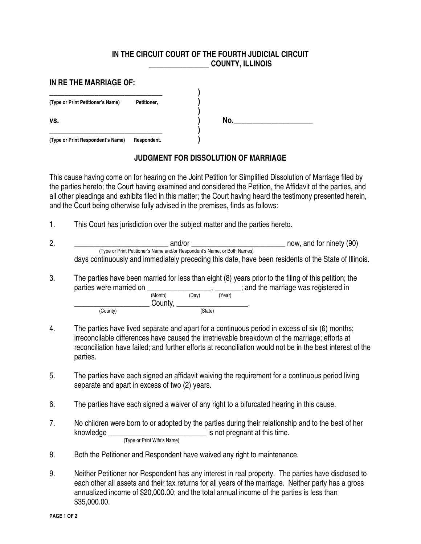### **IN THE CIRCUIT COURT OF THE FOURTH JUDICIAL CIRCUIT \_\_\_\_\_\_\_\_\_\_\_\_\_\_\_\_ COUNTY, ILLINOIS**

| IN RE THE MARRIAGE OF:            |             |     |  |
|-----------------------------------|-------------|-----|--|
| (Type or Print Petitioner's Name) | Petitioner, |     |  |
| VS.                               |             | No. |  |
| (Type or Print Respondent's Name) | Respondent. |     |  |

# **JUDGMENT FOR DISSOLUTION OF MARRIAGE**

This cause having come on for hearing on the Joint Petition for Simplified Dissolution of Marriage filed by the parties hereto; the Court having examined and considered the Petition, the Affidavit of the parties, and all other pleadings and exhibits filed in this matter; the Court having heard the testimony presented herein, and the Court being otherwise fully advised in the premises, finds as follows:

1. This Court has jurisdiction over the subject matter and the parties hereto.

(County) (State)

- 2. \_\_\_\_\_\_\_\_\_\_\_\_\_\_\_\_\_\_\_\_\_\_\_\_\_ and/or \_\_\_\_\_\_\_\_\_\_\_\_\_\_\_\_\_\_\_\_\_\_\_\_\_ now, and for ninety (90) (Type or Print Petitioner's Name and/or Respondent's Name, or Both Names) days continuously and immediately preceding this date, have been residents of the State of Illinois.
- 3. The parties have been married for less than eight (8) years prior to the filing of this petition; the parties were married on  $\underline{\hspace{1cm}}_{(Month)}$  (Day)  $\frac{1}{P_{(Year)}}$ , and the marriage was registered in (Month) (Day) (Year)  $County, \underline{\hspace{2cm}}$  (State)

4. The parties have lived separate and apart for a continuous period in excess of six (6) months; irreconcilable differences have caused the irretrievable breakdown of the marriage; efforts at reconciliation have failed; and further efforts at reconciliation would not be in the best interest of the parties.

- 5. The parties have each signed an affidavit waiving the requirement for a continuous period living separate and apart in excess of two (2) years.
- 6. The parties have each signed a waiver of any right to a bifurcated hearing in this cause.
- 7. No children were born to or adopted by the parties during their relationship and to the best of her knowledge \_\_\_\_\_\_\_\_\_\_\_\_\_\_\_\_\_\_\_\_\_\_\_\_\_\_ is not pregnant at this time. (Type or Print Wife's Name)
- 8. Both the Petitioner and Respondent have waived any right to maintenance.
- 9. Neither Petitioner nor Respondent has any interest in real property. The parties have disclosed to each other all assets and their tax returns for all years of the marriage. Neither party has a gross annualized income of \$20,000.00; and the total annual income of the parties is less than \$35,000.00.